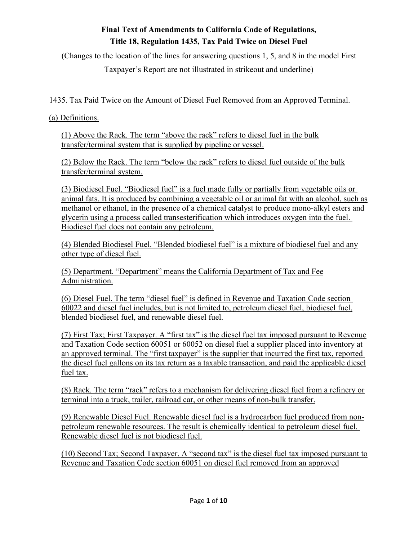# **Final Text of Amendments to California Code of Regulations, Title 18, Regulation 1435, Tax Paid Twice on Diesel Fuel**

(Changes to the location of the lines for answering questions 1, 5, and 8 in the model First

Taxpayer's Report are not illustrated in strikeout and underline)

1435. Tax Paid Twice on the Amount of Diesel Fuel Removed from an Approved Terminal.

(a) Definitions.

(1) Above the Rack. The term "above the rack" refers to diesel fuel in the bulk transfer/terminal system that is supplied by pipeline or vessel.

(2) Below the Rack. The term "below the rack" refers to diesel fuel outside of the bulk transfer/terminal system.

(3) Biodiesel Fuel. "Biodiesel fuel" is a fuel made fully or partially from vegetable oils or animal fats. It is produced by combining a vegetable oil or animal fat with an alcohol, such as methanol or ethanol, in the presence of a chemical catalyst to produce mono-alkyl esters and glycerin using a process called transesterification which introduces oxygen into the fuel. Biodiesel fuel does not contain any petroleum.

(4) Blended Biodiesel Fuel. "Blended biodiesel fuel" is a mixture of biodiesel fuel and any other type of diesel fuel.

(5) Department. "Department" means the California Department of Tax and Fee Administration.

(6) Diesel Fuel. The term "diesel fuel" is defined in Revenue and Taxation Code section 60022 and diesel fuel includes, but is not limited to, petroleum diesel fuel, biodiesel fuel, blended biodiesel fuel, and renewable diesel fuel.

(7) First Tax; First Taxpayer. A "first tax" is the diesel fuel tax imposed pursuant to Revenue and Taxation Code section 60051 or 60052 on diesel fuel a supplier placed into inventory at an approved terminal. The "first taxpayer" is the supplier that incurred the first tax, reported the diesel fuel gallons on its tax return as a taxable transaction, and paid the applicable diesel fuel tax.

(8) Rack. The term "rack" refers to a mechanism for delivering diesel fuel from a refinery or terminal into a truck, trailer, railroad car, or other means of non-bulk transfer.

(9) Renewable Diesel Fuel. Renewable diesel fuel is a hydrocarbon fuel produced from nonpetroleum renewable resources. The result is chemically identical to petroleum diesel fuel. Renewable diesel fuel is not biodiesel fuel.

(10) Second Tax; Second Taxpayer. A "second tax" is the diesel fuel tax imposed pursuant to Revenue and Taxation Code section 60051 on diesel fuel removed from an approved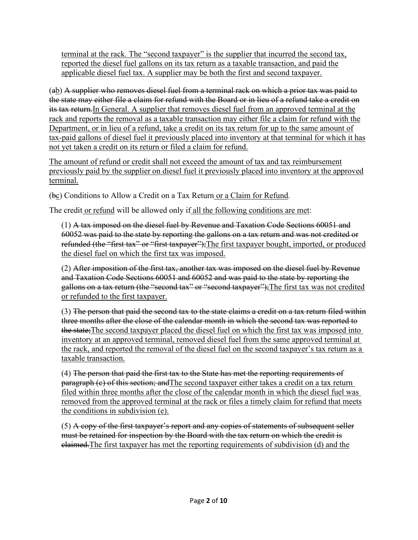terminal at the rack. The "second taxpayer" is the supplier that incurred the second tax, reported the diesel fuel gallons on its tax return as a taxable transaction, and paid the applicable diesel fuel tax. A supplier may be both the first and second taxpayer.

(ab) A supplier who removes diesel fuel from a terminal rack on which a prior tax was paid to the state may either file a claim for refund with the Board or in lieu of a refund take a credit on its tax return.In General. A supplier that removes diesel fuel from an approved terminal at the rack and reports the removal as a taxable transaction may either file a claim for refund with the Department, or in lieu of a refund, take a credit on its tax return for up to the same amount of tax-paid gallons of diesel fuel it previously placed into inventory at that terminal for which it has not yet taken a credit on its return or filed a claim for refund.

The amount of refund or credit shall not exceed the amount of tax and tax reimbursement previously paid by the supplier on diesel fuel it previously placed into inventory at the approved terminal.

(bc) Conditions to Allow a Credit on a Tax Return or a Claim for Refund.

The credit or refund will be allowed only if all the following conditions are met:

(1) A tax imposed on the diesel fuel by Revenue and Taxation Code Sections 60051 and 60052 was paid to the state by reporting the gallons on a tax return and was not credited or refunded (the "first tax" or "first taxpayer"); The first taxpayer bought, imported, or produced the diesel fuel on which the first tax was imposed.

(2) After imposition of the first tax, another tax was imposed on the diesel fuel by Revenue and Taxation Code Sections 60051 and 60052 and was paid to the state by reporting the gallons on a tax return (the "second tax" or "second taxpayer");The first tax was not credited or refunded to the first taxpayer.

(3) The person that paid the second tax to the state claims a credit on a tax return filed within three months after the close of the calendar month in which the second tax was reported to the state;The second taxpayer placed the diesel fuel on which the first tax was imposed into inventory at an approved terminal, removed diesel fuel from the same approved terminal at the rack, and reported the removal of the diesel fuel on the second taxpayer's tax return as a taxable transaction.

(4) The person that paid the first tax to the State has met the reporting requirements of paragraph (c) of this section; and The second taxpayer either takes a credit on a tax return filed within three months after the close of the calendar month in which the diesel fuel was removed from the approved terminal at the rack or files a timely claim for refund that meets the conditions in subdivision (e).

(5) A copy of the first taxpayer's report and any copies of statements of subsequent seller must be retained for inspection by the Board with the tax return on which the credit is claimed.The first taxpayer has met the reporting requirements of subdivision (d) and the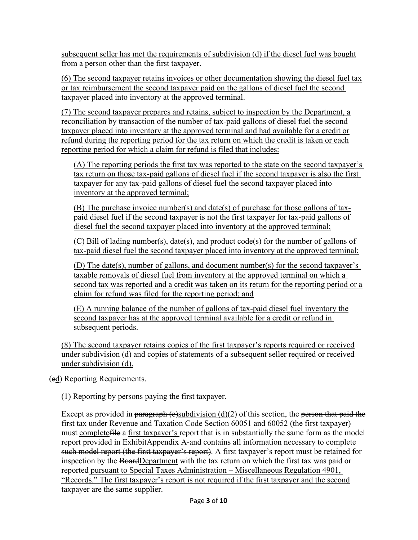subsequent seller has met the requirements of subdivision (d) if the diesel fuel was bought from a person other than the first taxpayer.

(6) The second taxpayer retains invoices or other documentation showing the diesel fuel tax or tax reimbursement the second taxpayer paid on the gallons of diesel fuel the second taxpayer placed into inventory at the approved terminal.

(7) The second taxpayer prepares and retains, subject to inspection by the Department, a reconciliation by transaction of the number of tax-paid gallons of diesel fuel the second taxpayer placed into inventory at the approved terminal and had available for a credit or refund during the reporting period for the tax return on which the credit is taken or each reporting period for which a claim for refund is filed that includes:

(A) The reporting periods the first tax was reported to the state on the second taxpayer's tax return on those tax-paid gallons of diesel fuel if the second taxpayer is also the first taxpayer for any tax-paid gallons of diesel fuel the second taxpayer placed into inventory at the approved terminal;

(B) The purchase invoice number(s) and date(s) of purchase for those gallons of taxpaid diesel fuel if the second taxpayer is not the first taxpayer for tax-paid gallons of diesel fuel the second taxpayer placed into inventory at the approved terminal;

(C) Bill of lading number(s), date(s), and product code(s) for the number of gallons of tax-paid diesel fuel the second taxpayer placed into inventory at the approved terminal;

(D) The date(s), number of gallons, and document number(s) for the second taxpayer's taxable removals of diesel fuel from inventory at the approved terminal on which a second tax was reported and a credit was taken on its return for the reporting period or a claim for refund was filed for the reporting period; and

(E) A running balance of the number of gallons of tax-paid diesel fuel inventory the second taxpayer has at the approved terminal available for a credit or refund in subsequent periods.

(8) The second taxpayer retains copies of the first taxpayer's reports required or received under subdivision (d) and copies of statements of a subsequent seller required or received under subdivision (d).

(cd) Reporting Requirements.

(1) Reporting by  $p$ ersons paying the first taxpayer.

Except as provided in paragraph (e)subdivision  $(d)(2)$  of this section, the person that paid the first tax under Revenue and Taxation Code Section 60051 and 60052 (the first taxpayer) must complete file a first taxpayer's report that is in substantially the same form as the model report provided in ExhibitAppendix A-and contains all information necessary to complete such model report (the first taxpayer's report). A first taxpayer's report must be retained for inspection by the BoardDepartment with the tax return on which the first tax was paid or reported pursuant to Special Taxes Administration – Miscellaneous Regulation 4901, "Records." The first taxpayer's report is not required if the first taxpayer and the second taxpayer are the same supplier.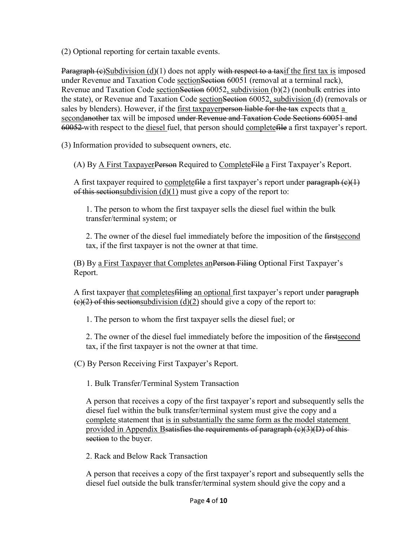(2) Optional reporting for certain taxable events.

Paragraph  $(e)$ Subdivision  $(d)(1)$  does not apply with respect to a taxif the first tax is imposed under Revenue and Taxation Code section Section 60051 (removal at a terminal rack), Revenue and Taxation Code sectionSection 60052, subdivision (b)(2) (nonbulk entries into the state), or Revenue and Taxation Code sectionSection 60052, subdivision (d) (removals or sales by blenders). However, if the first taxpayer person liable for the tax expects that a secondanother tax will be imposed under Revenue and Taxation Code Sections 60051 and 60052 with respect to the diesel fuel, that person should completefile a first taxpayer's report.

(3) Information provided to subsequent owners, etc.

(A) By A First Taxpayer Person Required to Complete File a First Taxpayer's Report.

A first taxpayer required to completefile a first taxpayer's report under paragraph (e)(1) of this sectionsubdivision  $(d)(1)$  must give a copy of the report to:

1. The person to whom the first taxpayer sells the diesel fuel within the bulk transfer/terminal system; or

2. The owner of the diesel fuel immediately before the imposition of the first second tax, if the first taxpayer is not the owner at that time.

(B) By a First Taxpayer that Completes anPerson Filing Optional First Taxpayer's Report.

A first taxpayer that completes filing an optional first taxpayer's report under paragraph  $\left(\frac{\epsilon}{2}\right)$  of this sectionsubdivision (d)(2) should give a copy of the report to:

1. The person to whom the first taxpayer sells the diesel fuel; or

2. The owner of the diesel fuel immediately before the imposition of the first second tax, if the first taxpayer is not the owner at that time.

(C) By Person Receiving First Taxpayer's Report.

1. Bulk Transfer/Terminal System Transaction

A person that receives a copy of the first taxpayer's report and subsequently sells the diesel fuel within the bulk transfer/terminal system must give the copy and a complete statement that is in substantially the same form as the model statement provided in Appendix Bsatisfies the requirements of paragraph (c)(3)(D) of this section to the buyer.

2. Rack and Below Rack Transaction

A person that receives a copy of the first taxpayer's report and subsequently sells the diesel fuel outside the bulk transfer/terminal system should give the copy and a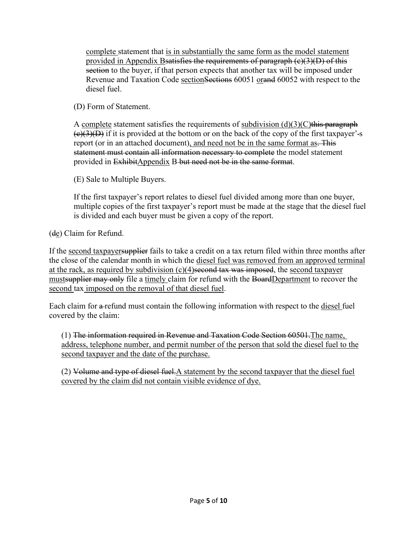complete statement that is in substantially the same form as the model statement provided in Appendix Bsatisfies the requirements of paragraph  $(c)(3)(D)$  of this section to the buyer, if that person expects that another tax will be imposed under Revenue and Taxation Code sectionSections 60051 orand 60052 with respect to the diesel fuel.

(D) Form of Statement.

A complete statement satisfies the requirements of subdivision  $(d)(3)(C)$ this paragraph  $(e)(3)(D)$  if it is provided at the bottom or on the back of the copy of the first taxpayer'-s report (or in an attached document), and need not be in the same format as. This statement must contain all information necessary to complete the model statement provided in ExhibitAppendix B but need not be in the same format.

(E) Sale to Multiple Buyers.

If the first taxpayer's report relates to diesel fuel divided among more than one buyer, multiple copies of the first taxpayer's report must be made at the stage that the diesel fuel is divided and each buyer must be given a copy of the report.

(de) Claim for Refund.

If the second taxpayer supplier fails to take a credit on a tax return filed within three months after the close of the calendar month in which the diesel fuel was removed from an approved terminal at the rack, as required by subdivision (c)(4)second tax was imposed, the second taxpayer mustsupplier may only file a timely claim for refund with the BoardDepartment to recover the second tax imposed on the removal of that diesel fuel.

Each claim for a refund must contain the following information with respect to the <u>diesel</u> fuel covered by the claim:

(1) The information required in Revenue and Taxation Code Section 60501.The name, address, telephone number, and permit number of the person that sold the diesel fuel to the second taxpayer and the date of the purchase.

(2) Volume and type of diesel fuel.A statement by the second taxpayer that the diesel fuel covered by the claim did not contain visible evidence of dye.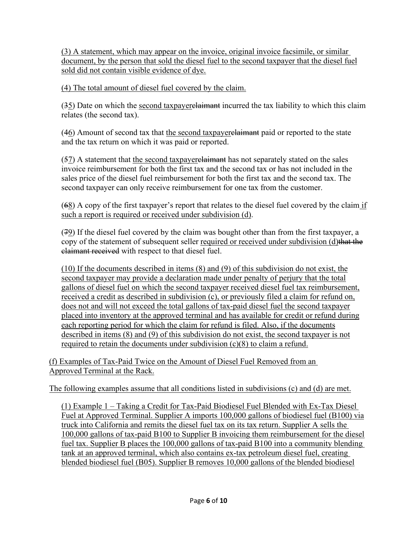(3) A statement, which may appear on the invoice, original invoice facsimile, or similar document, by the person that sold the diesel fuel to the second taxpayer that the diesel fuel sold did not contain visible evidence of dye.

(4) The total amount of diesel fuel covered by the claim.

(35) Date on which the second taxpayer <del>claimant</del> incurred the tax liability to which this claim relates (the second tax).

(46) Amount of second tax that the second taxpayer<del>claimant</del> paid or reported to the state and the tax return on which it was paid or reported.

(57) A statement that the second taxpayer elaimant has not separately stated on the sales invoice reimbursement for both the first tax and the second tax or has not included in the sales price of the diesel fuel reimbursement for both the first tax and the second tax. The second taxpayer can only receive reimbursement for one tax from the customer.

(68) A copy of the first taxpayer's report that relates to the diesel fuel covered by the claim if such a report is required or received under subdivision (d).

(79) If the diesel fuel covered by the claim was bought other than from the first taxpayer, a copy of the statement of subsequent seller required or received under subdivision (d)that the claimant received with respect to that diesel fuel.

(10) If the documents described in items (8) and (9) of this subdivision do not exist, the second taxpayer may provide a declaration made under penalty of perjury that the total gallons of diesel fuel on which the second taxpayer received diesel fuel tax reimbursement, received a credit as described in subdivision (c), or previously filed a claim for refund on, does not and will not exceed the total gallons of tax-paid diesel fuel the second taxpayer placed into inventory at the approved terminal and has available for credit or refund during each reporting period for which the claim for refund is filed. Also, if the documents described in items (8) and (9) of this subdivision do not exist, the second taxpayer is not required to retain the documents under subdivision (c)(8) to claim a refund.

(f) Examples of Tax-Paid Twice on the Amount of Diesel Fuel Removed from an Approved Terminal at the Rack.

The following examples assume that all conditions listed in subdivisions (c) and (d) are met.

(1) Example 1 – Taking a Credit for Tax-Paid Biodiesel Fuel Blended with Ex-Tax Diesel Fuel at Approved Terminal. Supplier A imports 100,000 gallons of biodiesel fuel (B100) via truck into California and remits the diesel fuel tax on its tax return. Supplier A sells the 100,000 gallons of tax-paid B100 to Supplier B invoicing them reimbursement for the diesel fuel tax. Supplier B places the 100,000 gallons of tax-paid B100 into a community blending tank at an approved terminal, which also contains ex-tax petroleum diesel fuel, creating blended biodiesel fuel (B05). Supplier B removes 10,000 gallons of the blended biodiesel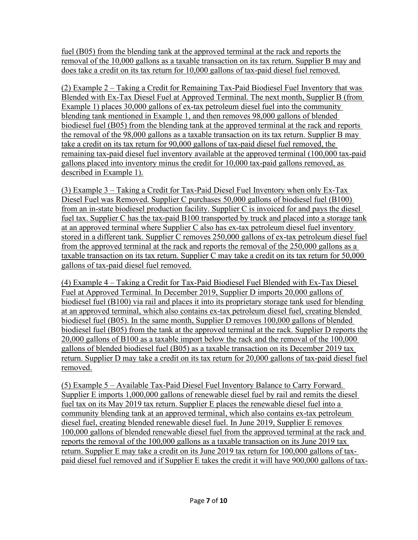fuel (B05) from the blending tank at the approved terminal at the rack and reports the removal of the 10,000 gallons as a taxable transaction on its tax return. Supplier B may and does take a credit on its tax return for 10,000 gallons of tax-paid diesel fuel removed.

(2) Example 2 – Taking a Credit for Remaining Tax-Paid Biodiesel Fuel Inventory that was Blended with Ex-Tax Diesel Fuel at Approved Terminal. The next month, Supplier B (from Example 1) places 30,000 gallons of ex-tax petroleum diesel fuel into the community blending tank mentioned in Example 1, and then removes 98,000 gallons of blended biodiesel fuel (B05) from the blending tank at the approved terminal at the rack and reports the removal of the 98,000 gallons as a taxable transaction on its tax return. Supplier B may take a credit on its tax return for 90,000 gallons of tax-paid diesel fuel removed, the remaining tax-paid diesel fuel inventory available at the approved terminal (100,000 tax-paid gallons placed into inventory minus the credit for 10,000 tax-paid gallons removed, as described in Example 1).

(3) Example 3 – Taking a Credit for Tax-Paid Diesel Fuel Inventory when only Ex-Tax Diesel Fuel was Removed. Supplier C purchases 50,000 gallons of biodiesel fuel (B100) from an in-state biodiesel production facility. Supplier C is invoiced for and pays the diesel fuel tax. Supplier C has the tax-paid B100 transported by truck and placed into a storage tank at an approved terminal where Supplier C also has ex-tax petroleum diesel fuel inventory stored in a different tank. Supplier C removes 250,000 gallons of ex-tax petroleum diesel fuel from the approved terminal at the rack and reports the removal of the 250,000 gallons as a taxable transaction on its tax return. Supplier C may take a credit on its tax return for 50,000 gallons of tax-paid diesel fuel removed.

(4) Example 4 – Taking a Credit for Tax-Paid Biodiesel Fuel Blended with Ex-Tax Diesel Fuel at Approved Terminal. In December 2019, Supplier D imports 20,000 gallons of biodiesel fuel (B100) via rail and places it into its proprietary storage tank used for blending at an approved terminal, which also contains ex-tax petroleum diesel fuel, creating blended biodiesel fuel (B05). In the same month, Supplier D removes 100,000 gallons of blended biodiesel fuel (B05) from the tank at the approved terminal at the rack. Supplier D reports the 20,000 gallons of B100 as a taxable import below the rack and the removal of the 100,000 gallons of blended biodiesel fuel (B05) as a taxable transaction on its December 2019 tax return. Supplier D may take a credit on its tax return for 20,000 gallons of tax-paid diesel fuel removed.

(5) Example 5 – Available Tax-Paid Diesel Fuel Inventory Balance to Carry Forward. Supplier E imports 1,000,000 gallons of renewable diesel fuel by rail and remits the diesel fuel tax on its May 2019 tax return. Supplier E places the renewable diesel fuel into a community blending tank at an approved terminal, which also contains ex-tax petroleum diesel fuel, creating blended renewable diesel fuel. In June 2019, Supplier E removes 100,000 gallons of blended renewable diesel fuel from the approved terminal at the rack and reports the removal of the 100,000 gallons as a taxable transaction on its June 2019 tax return. Supplier E may take a credit on its June 2019 tax return for 100,000 gallons of taxpaid diesel fuel removed and if Supplier E takes the credit it will have 900,000 gallons of tax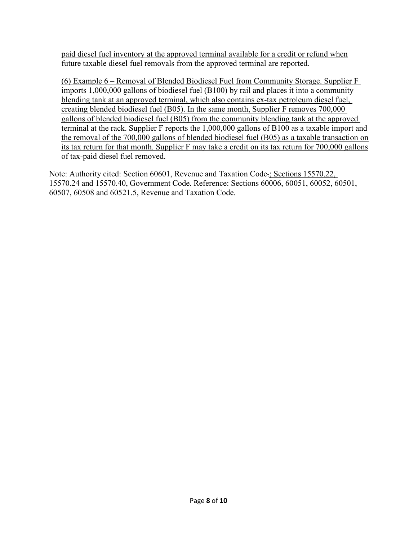paid diesel fuel inventory at the approved terminal available for a credit or refund when future taxable diesel fuel removals from the approved terminal are reported.

(6) Example 6 – Removal of Blended Biodiesel Fuel from Community Storage. Supplier F imports 1,000,000 gallons of biodiesel fuel (B100) by rail and places it into a community blending tank at an approved terminal, which also contains ex-tax petroleum diesel fuel, creating blended biodiesel fuel (B05). In the same month, Supplier F removes 700,000 gallons of blended biodiesel fuel (B05) from the community blending tank at the approved terminal at the rack. Supplier F reports the 1,000,000 gallons of B100 as a taxable import and the removal of the 700,000 gallons of blended biodiesel fuel (B05) as a taxable transaction on its tax return for that month. Supplier F may take a credit on its tax return for 700,000 gallons of tax-paid diesel fuel removed.

Note: Authority cited: Section 60601, Revenue and Taxation Code.; Sections 15570.22, 15570.24 and 15570.40, Government Code. Reference: Sections 60006, 60051, 60052, 60501, 60507, 60508 and 60521.5, Revenue and Taxation Code.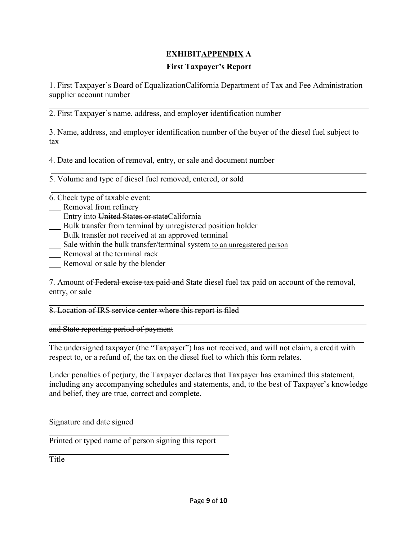## **EXHIBITAPPENDIX A**

#### **First Taxpayer's Report**

1. First Taxpayer's Board of Equalization California Department of Tax and Fee Administration supplier account number

2. First Taxpayer's name, address, and employer identification number

3. Name, address, and employer identification number of the buyer of the diesel fuel subject to tax

4. Date and location of removal, entry, or sale and document number

5. Volume and type of diesel fuel removed, entered, or sold

6. Check type of taxable event:

- Removal from refinery
- Entry into United States or stateCalifornia
- Bulk transfer from terminal by unregistered position holder
- Bulk transfer not received at an approved terminal
- Sale within the bulk transfer/terminal system to an unregistered person
- Removal at the terminal rack
- Removal or sale by the blender

7. Amount of Federal excise tax paid and State diesel fuel tax paid on account of the removal, entry, or sale

8. Location of IRS service center where this report is filed

and State reporting period of payment

The undersigned taxpayer (the "Taxpayer") has not received, and will not claim, a credit with respect to, or a refund of, the tax on the diesel fuel to which this form relates.

Under penalties of perjury, the Taxpayer declares that Taxpayer has examined this statement, including any accompanying schedules and statements, and, to the best of Taxpayer's knowledge and belief, they are true, correct and complete.

Signature and date signed

Printed or typed name of person signing this report

Title